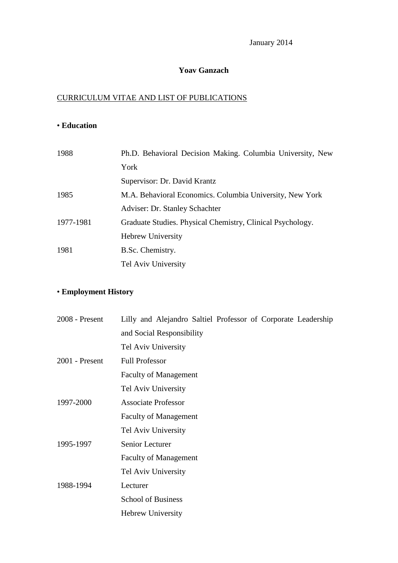January 2014

### **Yoav Ganzach**

### CURRICULUM VITAE AND LIST OF PUBLICATIONS

## • **Education**

| 1988      | Ph.D. Behavioral Decision Making. Columbia University, New |
|-----------|------------------------------------------------------------|
|           | York                                                       |
|           | Supervisor: Dr. David Krantz                               |
| 1985      | M.A. Behavioral Economics. Columbia University, New York   |
|           | Adviser: Dr. Stanley Schachter                             |
| 1977-1981 | Graduate Studies. Physical Chemistry, Clinical Psychology. |
|           | <b>Hebrew University</b>                                   |
| 1981      | B.Sc. Chemistry.                                           |
|           | Tel Aviv University                                        |

# • **Employment History**

| $2008$ - Present | Lilly and Alejandro Saltiel Professor of Corporate Leadership |
|------------------|---------------------------------------------------------------|
|                  | and Social Responsibility                                     |
|                  | Tel Aviv University                                           |
| $2001$ - Present | <b>Full Professor</b>                                         |
|                  | <b>Faculty of Management</b>                                  |
|                  | Tel Aviv University                                           |
| 1997-2000        | <b>Associate Professor</b>                                    |
|                  | <b>Faculty of Management</b>                                  |
|                  | Tel Aviv University                                           |
| 1995-1997        | Senior Lecturer                                               |
|                  | <b>Faculty of Management</b>                                  |
|                  | Tel Aviv University                                           |
| 1988-1994        | Lecturer                                                      |
|                  | <b>School of Business</b>                                     |
|                  | Hebrew University                                             |
|                  |                                                               |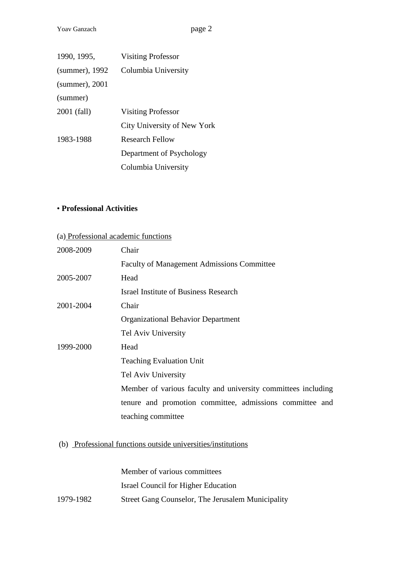| 1990, 1995,       | <b>Visiting Professor</b>   |
|-------------------|-----------------------------|
| (summer), 1992    | Columbia University         |
| $(summer)$ , 2001 |                             |
| (summer)          |                             |
| 2001 (fall)       | <b>Visiting Professor</b>   |
|                   | City University of New York |
| 1983-1988         | Research Fellow             |
|                   | Department of Psychology    |
|                   | Columbia University         |

### • **Professional Activities**

# (a) Professional academic functions

| 2008-2009 | Chair                                                         |
|-----------|---------------------------------------------------------------|
|           | <b>Faculty of Management Admissions Committee</b>             |
| 2005-2007 | Head                                                          |
|           | Israel Institute of Business Research                         |
| 2001-2004 | Chair                                                         |
|           | <b>Organizational Behavior Department</b>                     |
|           | Tel Aviv University                                           |
| 1999-2000 | Head                                                          |
|           | <b>Teaching Evaluation Unit</b>                               |
|           | Tel Aviv University                                           |
|           | Member of various faculty and university committees including |
|           | tenure and promotion committee, admissions committee and      |
|           | teaching committee                                            |

## (b) Professional functions outside universities/institutions

Member of various committees Israel Council for Higher Education 1979-1982 Street Gang Counselor, The Jerusalem Municipality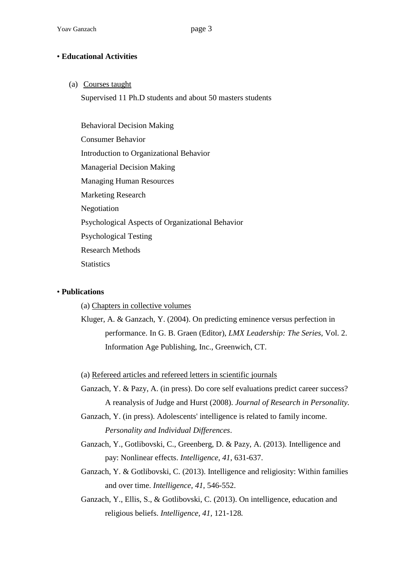### • **Educational Activities**

(a) Courses taught

Supervised 11 Ph.D students and about 50 masters students

Behavioral Decision Making Consumer Behavior Introduction to Organizational Behavior Managerial Decision Making Managing Human Resources Marketing Research Negotiation Psychological Aspects of Organizational Behavior Psychological Testing Research Methods **Statistics** 

### • **Publications**

(a) Chapters in collective volumes

(a) Refereed articles and refereed letters in scientific journals

- Ganzach, Y. & Pazy, A. (in press). Do core self evaluations predict career success? A reanalysis of Judge and Hurst (2008). *Journal of Research in Personality.*
- Ganzach, Y. (in press). Adolescents' intelligence is related to family income. *Personality and Individual Differences*.
- Ganzach, Y., Gotlibovski, C., Greenberg, D. & Pazy, A. (2013). Intelligence and pay: Nonlinear effects. *Intelligence*, *41*, 631-637.
- Ganzach, Y. & Gotlibovski, C. (2013). Intelligence and religiosity: Within families and over time. *Intelligence, 41*, 546-552.
- Ganzach, Y., Ellis, S., & Gotlibovski, C. (2013). On intelligence, education and religious beliefs. *Intelligence, 41,* 121-128*.*

Kluger, A. & Ganzach, Y. (2004). On predicting eminence versus perfection in performance. In G. B. Graen (Editor), *LMX Leadership: The Series*, Vol. 2. Information Age Publishing, Inc., Greenwich, CT.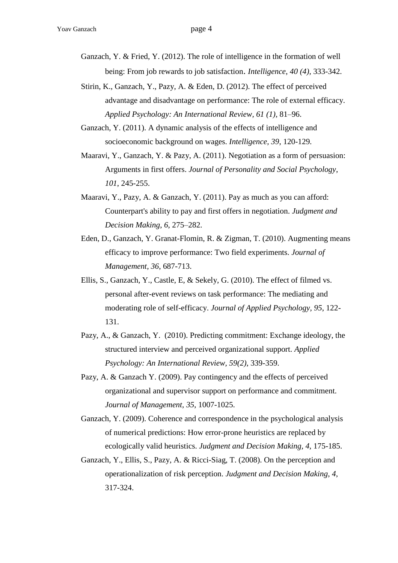Ganzach, Y. & Fried, Y. (2012). The role of intelligence in the formation of well being: From job rewards to job satisfaction. *Intelligence*, *40 (4),* 333-342.

- Stirin, K., Ganzach, Y., Pazy, A. & Eden, D. (2012). The effect of perceived advantage and disadvantage on performance: The role of external efficacy. *Applied Psychology: An International Review, 61 (1),* 81–96.
- Ganzach, Y. (2011). A dynamic analysis of the effects of intelligence and socioeconomic background on wages. *Intelligence, 39*, 120-129*.*
- Maaravi, Y., Ganzach, Y. & Pazy, A. (2011). Negotiation as a form of persuasion: Arguments in first offers. *Journal of Personality and Social Psychology*, *101*, 245-255.
- Maaravi, Y., Pazy, A. & Ganzach, Y. (2011). Pay as much as you can afford: Counterpart's ability to pay and first offers in negotiation. *Judgment and Decision Making*, *6*, 275–282.
- Eden, D., Ganzach, Y. Granat-Flomin, R. & Zigman, T. (2010). Augmenting means efficacy to improve performance: Two field experiments. *Journal of Management, 36*, 687-713.
- Ellis, S., Ganzach, Y., Castle, E, & Sekely, G. (2010). The effect of filmed vs. personal after-event reviews on task performance: The mediating and moderating role of self-efficacy. *Journal of Applied Psychology, 95*, 122- 131.
- Pazy, A., & Ganzach, Y. (2010). Predicting commitment: Exchange ideology, the structured interview and perceived organizational support. *Applied Psychology: An International Review, 59(2)*, 339-359.
- Pazy, A. & Ganzach Y. (2009). Pay contingency and the effects of perceived organizational and supervisor support on performance and commitment. *Journal of Management, 35*, 1007-1025.
- Ganzach, Y. (2009). Coherence and correspondence in the psychological analysis of numerical predictions: How error-prone heuristics are replaced by ecologically valid heuristics. *Judgment and Decision Making, 4,* 175-185.
- Ganzach, Y., Ellis, S., Pazy, A. & Ricci-Siag, T. (2008). On the perception and operationalization of risk perception. *Judgment and Decision Making*, *4*, 317-324.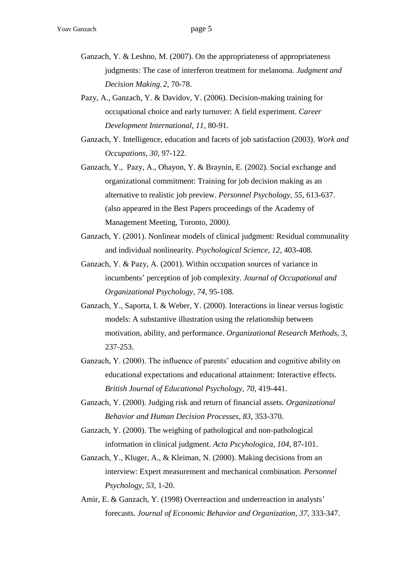- Ganzach, Y. & Leshno, M. (2007). On the appropriateness of appropriateness judgments: The case of interferon treatment for melanoma. *Judgment and Decision Making*, *2*, 70-78.
- Pazy, A., Ganzach, Y. & Davidov, Y. (2006). Decision-making training for occupational choice and early turnover: A field experiment. *Career Development International, 11,* 80-91.
- Ganzach, Y. Intelligence, education and facets of job satisfaction (2003). *Work and Occupations, 30,* 97-122.
- Ganzach, Y., Pazy, A., Ohayon, Y. & Braynin, E. (2002). Social exchange and organizational commitment: Training for job decision making as an alternative to realistic job preview. *Personnel Psychology, 55*, 613-637. (also appeared in the Best Papers proceedings of the Academy of Management Meeting, Toronto, 2000*)*.
- Ganzach, Y. (2001). Nonlinear models of clinical judgment: Residual communality and individual nonlinearity*. Psychological Science, 12*, 403-408*.*
- Ganzach, Y. & Pazy, A. (2001). Within occupation sources of variance in incumbents' perception of job complexity. *Journal of Occupational and Organizational Psychology, 74*, 95-108.
- Ganzach, Y., Saporta, I. & Weber, Y. (2000). Interactions in linear versus logistic models: A substantive illustration using the relationship between motivation, ability, and performance. *Organizational Research Methods*, *3*, 237-253.
- Ganzach, Y. (2000). The influence of parents' education and cognitive ability on educational expectations and educational attainment: Interactive effects. *British Journal of Educational Psychology, 70*, 419-441.
- Ganzach, Y. (2000). Judging risk and return of financial assets. *Organizational Behavior and Human Decision Processes, 83*, 353-370.
- Ganzach, Y. (2000). The weighing of pathological and non-pathological information in clinical judgment. *Acta Pscyhologica, 104*, 87-101.
- Ganzach, Y., Kluger, A., & Kleiman, N. (2000). Making decisions from an interview: Expert measurement and mechanical combination. *Personnel Psychology, 53*, 1-20.
- Amir, E. & Ganzach, Y. (1998) Overreaction and underreaction in analysts' forecasts. *Journal of Economic Behavior and Organization, 37*, 333-347.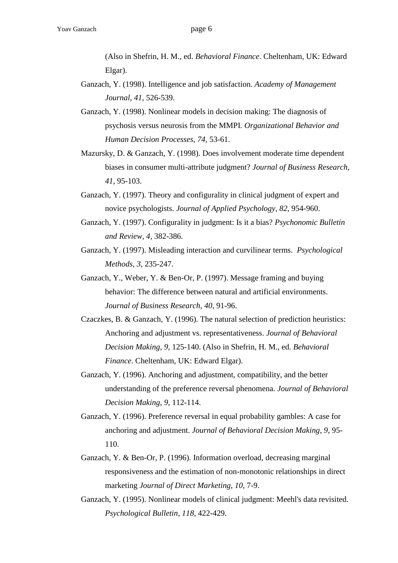(Also in Shefrin, H. M., ed. *Behavioral Finance*. Cheltenham, UK: Edward Elgar).

- Ganzach, Y. (1998). Intelligence and job satisfaction. *Academy of Management Journal*, *41*, 526-539.
- Ganzach, Y. (1998). Nonlinear models in decision making: The diagnosis of psychosis versus neurosis from the MMPI. *Organizational Behavior and Human Decision Processes, 74,* 53-61.
- Mazursky, D. & Ganzach, Y. (1998). Does involvement moderate time dependent biases in consumer multi-attribute judgment? *Journal of Business Research, 41*, 95-103.
- Ganzach, Y. (1997). Theory and configurality in clinical judgment of expert and novice psychologists. *Journal of Applied Psychology*, *82*, 954-960.
- Ganzach, Y. (1997). Configurality in judgment: Is it a bias? *Psychonomic Bulletin and Review, 4*, 382-386.
- Ganzach, Y. (1997). Misleading interaction and curvilinear terms. *Psychological Methods, 3*, 235-247.
- Ganzach, Y., Weber, Y. & Ben-Or, P. (1997). Message framing and buying behavior: The difference between natural and artificial environments. *Journal of Business Research*, *40*, 91-96.
- Czaczkes, B. & Ganzach, Y. (1996). The natural selection of prediction heuristics: Anchoring and adjustment vs. representativeness. *Journal of Behavioral Decision Making*, *9*, 125-140. (Also in Shefrin, H. M., ed. *Behavioral Finance*. Cheltenham, UK: Edward Elgar).
- Ganzach, Y. (1996). Anchoring and adjustment, compatibility, and the better understanding of the preference reversal phenomena. *Journal of Behavioral Decision Making*, *9*, 112-114.
- Ganzach, Y. (1996). Preference reversal in equal probability gambles: A case for anchoring and adjustment. *Journal of Behavioral Decision Making*, *9*, 95- 110.
- Ganzach, Y. & Ben-Or, P. (1996). Information overload, decreasing marginal responsiveness and the estimation of non-monotonic relationships in direct marketing *Journal of Direct Marketing*, *10*, 7-9.
- Ganzach, Y. (1995). Nonlinear models of clinical judgment: Meehl's data revisited. *Psychological Bulletin*, *118*, 422-429.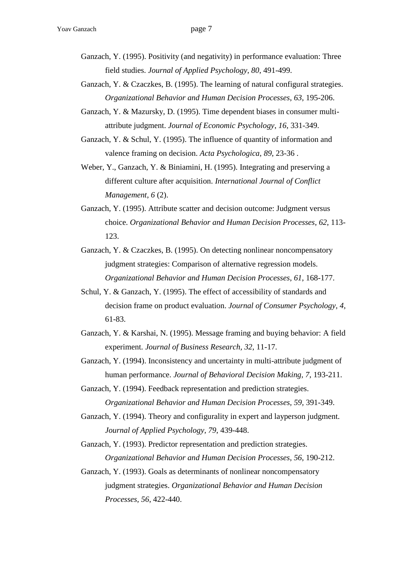- Ganzach, Y. (1995). Positivity (and negativity) in performance evaluation: Three field studies. *Journal of Applied Psychology*, *80*, 491-499.
- Ganzach, Y. & Czaczkes, B. (1995). The learning of natural configural strategies. *Organizational Behavior and Human Decision Processes*, *63*, 195-206.
- Ganzach, Y. & Mazursky, D. (1995). Time dependent biases in consumer multiattribute judgment. *Journal of Economic Psychology*, *16*, 331-349.
- Ganzach, Y. & Schul, Y. (1995). The influence of quantity of information and valence framing on decision. *Acta Psychologica*, *89*, 23-36 .
- Weber, Y., Ganzach, Y. & Biniamini, H. (1995). Integrating and preserving a different culture after acquisition. *International Journal of Conflict Management*, *6* (2).
- Ganzach, Y. (1995). Attribute scatter and decision outcome: Judgment versus choice. *Organizational Behavior and Human Decision Processes*, *62*, 113- 123.
- Ganzach, Y. & Czaczkes, B. (1995). On detecting nonlinear noncompensatory judgment strategies: Comparison of alternative regression models. *Organizational Behavior and Human Decision Processes*, *61*, 168-177.
- Schul, Y. & Ganzach, Y. (1995). The effect of accessibility of standards and decision frame on product evaluation. *Journal of Consumer Psychology, 4*, 61-83.
- Ganzach, Y. & Karshai, N. (1995). Message framing and buying behavior: A field experiment. *Journal of Business Research, 32*, 11-17.
- Ganzach, Y. (1994). Inconsistency and uncertainty in multi-attribute judgment of human performance. *Journal of Behavioral Decision Making, 7*, 193-211.
- Ganzach, Y. (1994). Feedback representation and prediction strategies. *Organizational Behavior and Human Decision Processes, 59,* 391-349.
- Ganzach, Y. (1994). Theory and configurality in expert and layperson judgment. *Journal of Applied Psychology, 79*, 439-448.
- Ganzach, Y. (1993). Predictor representation and prediction strategies. *Organizational Behavior and Human Decision Processes*, *56*, 190-212.
- Ganzach, Y. (1993). Goals as determinants of nonlinear noncompensatory judgment strategies. *Organizational Behavior and Human Decision Processes, 56*, 422-440.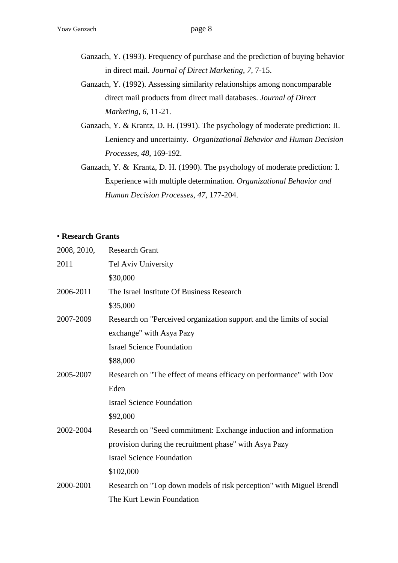- Ganzach, Y. (1993). Frequency of purchase and the prediction of buying behavior in direct mail. *Journal of Direct Marketing*, *7*, 7-15.
- Ganzach, Y. (1992). Assessing similarity relationships among noncomparable direct mail products from direct mail databases. *Journal of Direct Marketing*, *6*, 11-21.
- Ganzach, Y. & Krantz, D. H. (1991). The psychology of moderate prediction: II. Leniency and uncertainty. *Organizational Behavior and Human Decision Processes*, *48*, 169-192.
- Ganzach, Y. & Krantz, D. H. (1990). The psychology of moderate prediction: I. Experience with multiple determination. *Organizational Behavior and Human Decision Processes*, *47*, 177-204.

#### • **Research Grants**

| 2008, 2010, | <b>Research Grant</b>                                                |
|-------------|----------------------------------------------------------------------|
| 2011        | Tel Aviv University                                                  |
|             | \$30,000                                                             |
| 2006-2011   | The Israel Institute Of Business Research                            |
|             | \$35,000                                                             |
| 2007-2009   | Research on "Perceived organization support and the limits of social |
|             | exchange" with Asya Pazy                                             |
|             | <b>Israel Science Foundation</b>                                     |
|             | \$88,000                                                             |
| 2005-2007   | Research on "The effect of means efficacy on performance" with Dov   |
|             | Eden                                                                 |
|             | <b>Israel Science Foundation</b>                                     |
|             | \$92,000                                                             |
| 2002-2004   | Research on "Seed commitment: Exchange induction and information     |
|             | provision during the recruitment phase" with Asya Pazy               |
|             | <b>Israel Science Foundation</b>                                     |
|             | \$102,000                                                            |
| 2000-2001   | Research on "Top down models of risk perception" with Miguel Brendl  |
|             | The Kurt Lewin Foundation                                            |